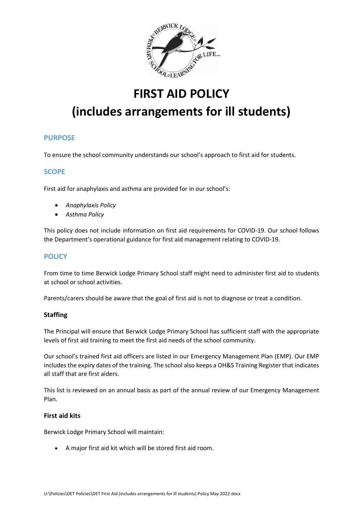

## **FIRST AID POLICY**

# **(includes arrangements for ill students)**

## **PURPOSE**

To ensure the school community understands our school's approach to first aid for students.

## **SCOPE**

First aid for anaphylaxis and asthma are provided for in our school's:

- *Anaphylaxis Policy*
- *Asthma Policy*

This policy does not include information on first aid requirements for COVID-19. Our school follows the Department's operational guidance for first aid management relating to COVID-19.

### **POLICY**

From time to time Berwick Lodge Primary School staff might need to administer first aid to students at school or school activities.

Parents/carers should be aware that the goal of first aid is not to diagnose or treat a condition.

#### **Staffing**

The Principal will ensure that Berwick Lodge Primary School has sufficient staff with the appropriate levels of first aid training to meet the first aid needs of the school community.

Our school's trained first aid officers are listed in our Emergency Management Plan (EMP). Our EMP includes the expiry dates of the training. The school also keeps a OH&S Training Register that indicates all staff that are first aiders.

This list is reviewed on an annual basis as part of the annual review of our Emergency Management Plan.

#### **First aid kits**

Berwick Lodge Primary School will maintain:

• A major first aid kit which will be stored first aid room.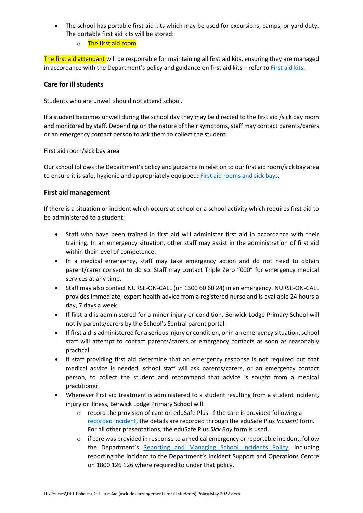- The school has portable first aid kits which may be used for excursions, camps, or yard duty. The portable first aid kits will be stored:
	- o The first aid room

The first aid attendant will be responsible for maintaining all first aid kits, ensuring they are managed in accordance with the Department's policy and guidance on first aid kits – refer to [First aid kits.](https://www2.education.vic.gov.au/pal/first-aid-students-and-staff/guidance/first-aid-kits)

#### **Care for ill students**

Students who are unwell should not attend school.

If a student becomes unwell during the school day they may be directed to the first aid /sick bay room and monitored by staff. Depending on the nature of their symptoms, staff may contact parents/carers or an emergency contact person to ask them to collect the student.

First aid room/sick bay area

Our school follows the Department's policy and guidance in relation to our first aid room/sick bay area to ensure it is safe, hygienic and appropriately equipped: [First aid rooms and sick bays.](https://www2.education.vic.gov.au/pal/first-aid-students-and-staff/guidance/first-aid-rooms-and-sick-bays)

#### **First aid management**

If there is a situation or incident which occurs at school or a school activity which requires first aid to be administered to a student:

- Staff who have been trained in first aid will administer first aid in accordance with their training. In an emergency situation, other staff may assist in the administration of first aid within their level of competence.
- In a medical emergency, staff may take emergency action and do not need to obtain parent/carer consent to do so. Staff may contact Triple Zero "000" for emergency medical services at any time.
- Staff may also contact NURSE-ON-CALL (on 1300 60 60 24) in an emergency. NURSE-ON-CALL provides immediate, expert health advice from a registered nurse and is available 24 hours a day, 7 days a week.
- If first aid is administered for a minor injury or condition, Berwick Lodge Primary School will notify parents/carers by the School's Sentral parent portal.
- If first aid is administered for a serious injury or condition, or in an emergency situation, school staff will attempt to contact parents/carers or emergency contacts as soon as reasonably practical.
- If staff providing first aid determine that an emergency response is not required but that medical advice is needed, school staff will ask parents/carers, or an emergency contact person, to collect the student and recommend that advice is sought from a medical practitioner.
- Whenever first aid treatment is administered to a student resulting from a student incident, injury or illness, Berwick Lodge Primary School will:
	- $\circ$  record the provision of care on eduSafe Plus. If the care is provided following a [recorded incident,](https://www2.education.vic.gov.au/pal/reporting-and-managing-school-incidents-including-emergencies/policy) the details are recorded through the eduSafe Plus *Incident* form. For all other presentations, the eduSafe Plus *Sick Bay* form is used.
	- $\circ$  if care was provided in response to a medical emergency or reportable incident, follow the Department's [Reporting and Managing School Incidents Policy,](https://www2.education.vic.gov.au/pal/reporting-and-managing-school-incidents-including-emergencies/policy) including reporting the incident to the Department's Incident Support and Operations Centre on 1800 126 126 where required to under that policy.